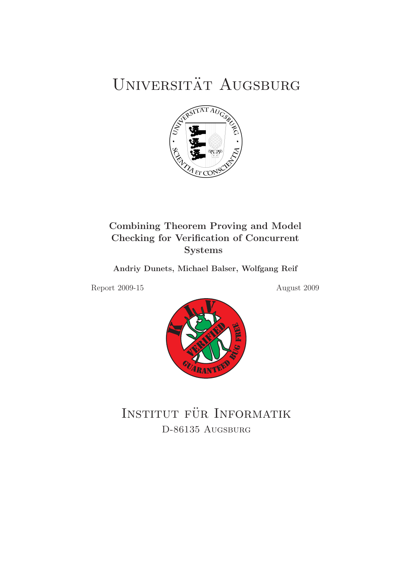# UNIVERSITÄT AUGSBURG



# Combining Theorem Proving and Model Checking for Verification of Concurrent Systems

Andriy Dunets, Michael Balser, Wolfgang Reif

Report 2009-15 August 2009



INSTITUT FÜR INFORMATIK D-86135 AUGSBURG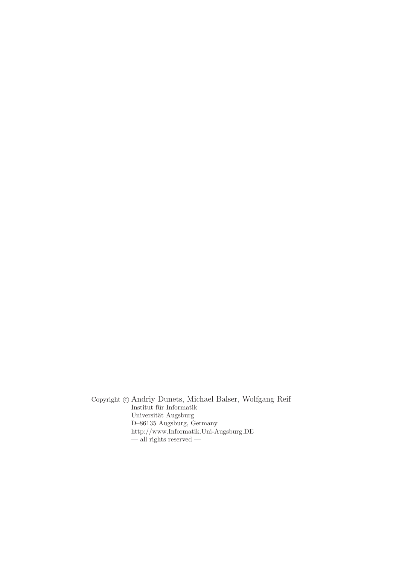Copyright c Andriy Dunets, Michael Balser, Wolfgang Reif Institut für Informatik Universität Augsburg D–86135 Augsburg, Germany http://www.Informatik.Uni-Augsburg.DE — all rights reserved —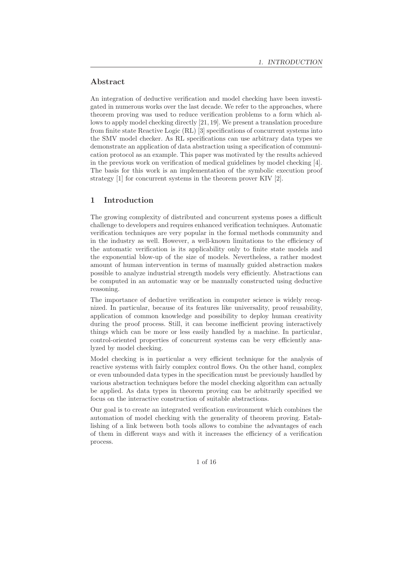# Abstract

An integration of deductive verification and model checking have been investigated in numerous works over the last decade. We refer to the approaches, where theorem proving was used to reduce verification problems to a form which allows to apply model checking directly [21, 19]. We present a translation procedure from finite state Reactive Logic (RL) [3] specifications of concurrent systems into the SMV model checker. As RL specifications can use arbitrary data types we demonstrate an application of data abstraction using a specification of communication protocol as an example. This paper was motivated by the results achieved in the previous work on verification of medical guidelines by model checking [4]. The basis for this work is an implementation of the symbolic execution proof strategy [1] for concurrent systems in the theorem prover KIV [2].

# 1 Introduction

The growing complexity of distributed and concurrent systems poses a difficult challenge to developers and requires enhanced verification techniques. Automatic verification techniques are very popular in the formal methods community and in the industry as well. However, a well-known limitations to the efficiency of the automatic verification is its applicability only to finite state models and the exponential blow-up of the size of models. Nevertheless, a rather modest amount of human intervention in terms of manually guided abstraction makes possible to analyze industrial strength models very efficiently. Abstractions can be computed in an automatic way or be manually constructed using deductive reasoning.

The importance of deductive verification in computer science is widely recognized. In particular, because of its features like universality, proof reusability, application of common knowledge and possibility to deploy human creativity during the proof process. Still, it can become inefficient proving interactively things which can be more or less easily handled by a machine. In particular, control-oriented properties of concurrent systems can be very efficiently analyzed by model checking.

Model checking is in particular a very efficient technique for the analysis of reactive systems with fairly complex control flows. On the other hand, complex or even unbounded data types in the specification must be previously handled by various abstraction techniques before the model checking algorithm can actually be applied. As data types in theorem proving can be arbitrarily specified we focus on the interactive construction of suitable abstractions.

Our goal is to create an integrated verification environment which combines the automation of model checking with the generality of theorem proving. Establishing of a link between both tools allows to combine the advantages of each of them in different ways and with it increases the efficiency of a verification process.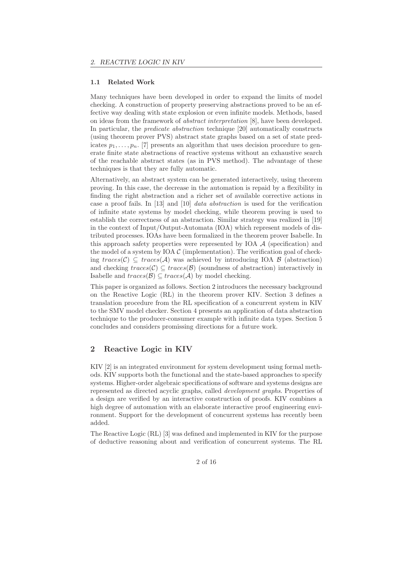#### 1.1 Related Work

Many techniques have been developed in order to expand the limits of model checking. A construction of property preserving abstractions proved to be an effective way dealing with state explosion or even infinite models. Methods, based on ideas from the framework of abstract interpretation [8], have been developed. In particular, the predicate abstraction technique [20] automatically constructs (using theorem prover PVS) abstract state graphs based on a set of state predicates  $p_1, \ldots, p_n$ . [7] presents an algorithm that uses decision procedure to generate finite state abstractions of reactive systems without an exhaustive search of the reachable abstract states (as in PVS method). The advantage of these techniques is that they are fully automatic.

Alternatively, an abstract system can be generated interactively, using theorem proving. In this case, the decrease in the automation is repaid by a flexibility in finding the right abstraction and a richer set of available corrective actions in case a proof fails. In [13] and [10] data abstraction is used for the verification of infinite state systems by model checking, while theorem proving is used to establish the correctness of an abstraction. Similar strategy was realized in [19] in the context of Input/Output-Automata (IOA) which represent models of distributed processes. IOAs have been formalized in the theorem prover Isabelle. In this approach safety properties were represented by IOA  $\mathcal A$  (specification) and the model of a system by IOA  $\mathcal C$  (implementation). The verification goal of checking  $traces(C) \subseteq traces(A)$  was achieved by introducing IOA B (abstraction) and checking  $traces(C) \subseteq traces(B)$  (soundness of abstraction) interactively in Isabelle and  $traces(B) ⊆ traces(A)$  by model checking.

This paper is organized as follows. Section 2 introduces the necessary background on the Reactive Logic (RL) in the theorem prover KIV. Section 3 defines a translation procedure from the RL specification of a concurrent system in KIV to the SMV model checker. Section 4 presents an application of data abstraction technique to the producer-consumer example with infinite data types. Section 5 concludes and considers promissing directions for a future work.

# 2 Reactive Logic in KIV

KIV [2] is an integrated environment for system development using formal methods. KIV supports both the functional and the state-based approaches to specify systems. Higher-order algebraic specifications of software and systems designs are represented as directed acyclic graphs, called development graphs. Properties of a design are verified by an interactive construction of proofs. KIV combines a high degree of automation with an elaborate interactive proof engineering environment. Support for the development of concurrent systems has recently been added.

The Reactive Logic (RL) [3] was defined and implemented in KIV for the purpose of deductive reasoning about and verification of concurrent systems. The RL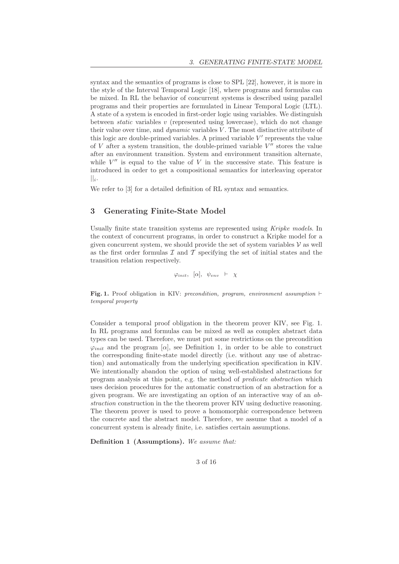syntax and the semantics of programs is close to SPL [22], however, it is more in the style of the Interval Temporal Logic [18], where programs and formulas can be mixed. In RL the behavior of concurrent systems is described using parallel programs and their properties are formulated in Linear Temporal Logic (LTL). A state of a system is encoded in first-order logic using variables. We distinguish between *static* variables v (represented using lowercase), which do not change their value over time, and  $dynamic$  variables  $V$ . The most distinctive attribute of this logic are double-primed variables. A primed variable  $V'$  represents the value of V after a system transition, the double-primed variable  $V''$  stores the value after an environment transition. System and environment transition alternate, while  $V''$  is equal to the value of V in the successive state. This feature is introduced in order to get a compositional semantics for interleaving operator  $||_i.$ 

We refer to [3] for a detailed definition of RL syntax and semantics.

# 3 Generating Finite-State Model

Usually finite state transition systems are represented using Kripke models. In the context of concurrent programs, in order to construct a Kripke model for a given concurrent system, we should provide the set of system variables  $V$  as well as the first order formulas  $\mathcal I$  and  $\mathcal T$  specifying the set of initial states and the transition relation respectively.

 $\varphi_{init}, [\alpha], \psi_{env} \vdash \chi$ 

Fig. 1. Proof obligation in KIV: precondition, program, environment assumption ⊢ temporal property

Consider a temporal proof obligation in the theorem prover KIV, see Fig. 1. In RL programs and formulas can be mixed as well as complex abstract data types can be used. Therefore, we must put some restrictions on the precondition  $\varphi_{init}$  and the program [ $\alpha$ ], see Definition 1, in order to be able to construct the corresponding finite-state model directly (i.e. without any use of abstraction) and automatically from the underlying specification specification in KIV. We intentionally abandon the option of using well-established abstractions for program analysis at this point, e.g. the method of predicate abstraction which uses decision procedures for the automatic construction of an abstraction for a given program. We are investigating an option of an interactive way of an abstraction construction in the the theorem prover KIV using deductive reasoning. The theorem prover is used to prove a homomorphic correspondence between the concrete and the abstract model. Therefore, we assume that a model of a concurrent system is already finite, i.e. satisfies certain assumptions.

Definition 1 (Assumptions). We assume that: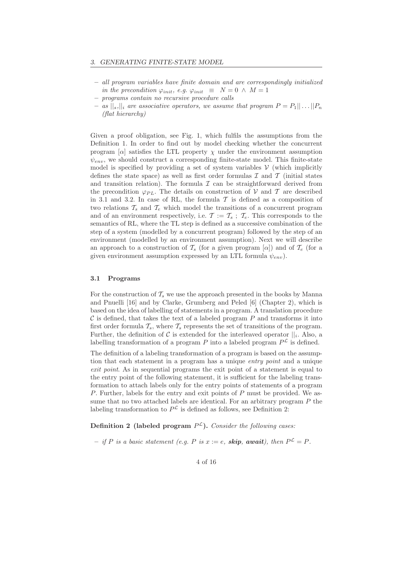- all program variables have finite domain and are correspondingly initialized in the precondition  $\varphi_{init}$ , e.g.  $\varphi_{init} \equiv N = 0 \land M = 1$
- programs contain no recursive procedure calls
- as  $||s||_i$  are associative operators, we assume that program  $P = P_1|| \dots ||P_n$ (flat hierarchy)

Given a proof obligation, see Fig. 1, which fulfils the assumptions from the Definition 1. In order to find out by model checking whether the concurrent program  $[\alpha]$  satisfies the LTL property  $\chi$  under the environment assumption  $\psi_{env}$ , we should construct a corresponding finite-state model. This finite-state model is specified by providing a set of system variables  $V$  (which implicitly defines the state space) as well as first order formulas  $\mathcal I$  and  $\mathcal T$  (initial states and transition relation). The formula  $\mathcal I$  can be straightforward derived from the precondition  $\varphi_{PL}$ . The details on construction of V and T are described in 3.1 and 3.2. In case of RL, the formula  $\mathcal T$  is defined as a composition of two relations  $\mathcal{T}_s$  and  $\mathcal{T}_e$  which model the transitions of a concurrent program and of an environment respectively, i.e.  $\mathcal{T} := \mathcal{T}_s$ ;  $\mathcal{T}_e$ . This corresponds to the semantics of RL, where the TL step is defined as a successive combination of the step of a system (modelled by a concurrent program) followed by the step of an environment (modelled by an environment assumption). Next we will describe an approach to a construction of  $\mathcal{T}_s$  (for a given program  $[\alpha]$ ) and of  $\mathcal{T}_e$  (for a given environment assumption expressed by an LTL formula  $\psi_{env}$ ).

#### 3.1 Programs

For the construction of  $\mathcal{T}_s$  we use the approach presented in the books by Manna and Pnuelli [16] and by Clarke, Grumberg and Peled [6] (Chapter 2), which is based on the idea of labelling of statements in a program. A translation procedure  $\mathcal C$  is defined, that takes the text of a labeled program  $P$  and transforms it into first order formula  $\mathcal{T}_s$ , where  $\mathcal{T}_s$  represents the set of transitions of the program. Further, the definition of C is extended for the interleaved operator  $||_i$ . Also, a labelling transformation of a program P into a labeled program  $P^{\mathcal{L}}$  is defined.

The definition of a labeling transformation of a program is based on the assumption that each statement in a program has a unique entry point and a unique exit point. As in sequential programs the exit point of a statement is equal to the entry point of the following statement, it is sufficient for the labeling transformation to attach labels only for the entry points of statements of a program P. Further, labels for the entry and exit points of P must be provided. We assume that no two attached labels are identical. For an arbitrary program  $P$  the labeling transformation to  $P^{\mathcal{L}}$  is defined as follows, see Definition 2:

Definition 2 (labeled program  $P^{\mathcal{L}}$ ). Consider the following cases:

- if P is a basic statement (e.g. P is  $x := e$ , **skip, await**), then  $P^{\mathcal{L}} = P$ .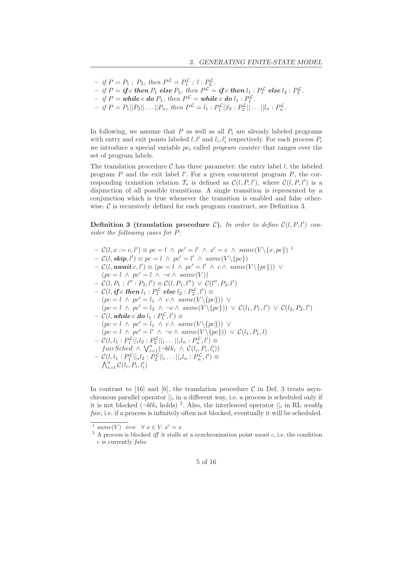$-$  if  $P = P_1$ ;  $P_2$ , then  $P^{\mathcal{L}} = P_1^{\mathcal{L}}$ ;  $l : P_2^{\mathcal{L}}$ .  $-$  if  $P =$  if c then  $P_1$  else  $P_2$ , then  $P^{\mathcal{L}} =$  if c then  $l_1 : P_1^{\mathcal{L}}$  else  $l_2 : P_2^{\mathcal{L}}$ .  $-$  if  $P =$  while c do  $P_1$ , then  $P^{\mathcal{L}} =$  while c do  $l_1 : P_1^{\mathcal{L}}$ .

 $- if P = P_1 ||P_2 || \dots || P_n, then P^{\mathcal{L}} = l_1 : P_1^{\mathcal{L}} || l_2 : P_2^{\mathcal{L}} || \dots || l_n : P_n^{\mathcal{L}}.$ 

In following, we assume that  $P$  as well as all  $P_i$  are already labeled programs with entry and exit points labeled  $l, l'$  and  $l_i, l'_i$  respectively. For each process  $P_i$ we introduce a special variable  $pc<sub>i</sub>$  called program counter that ranges over the set of program labels.

The translation procedure  $\mathcal C$  has three parameter: the entry label l, the labeled program  $P$  and the exit label  $l'$ . For a given concurrent program  $P$ , the corresponding transition relation  $\mathcal{T}_s$  is defined as  $\mathcal{C}(l, P, l')$ , where  $\mathcal{C}(l, P, l')$  is a disjunction of all possible transitions. A single transition is represented by a conjunction which is true whenever the transition is enabled and false otherwise.  $\mathcal C$  is recursively defined for each program construct, see Definition 3.

Definition 3 (translation procedure C). In order to define  $\mathcal{C}(l, P, l')$  consider the following cases for P:

- $-\mathcal{C}(l, x := e, l') \equiv pc = l \land pc' = l' \land x' = e \land same(V \setminus \{x, pc\})^{-1}$
- $C(l, \textbf{skip}, l') \equiv pc = l \land pc' = l' \land same(V \setminus \{pc\})$
- $\mathcal{C}(l, \textbf{await } c, l') \equiv (pc = l \land pc' = l' \land c \land \textbf{same}(V \setminus \{pc\})) \lor$  $(pc = l \wedge pc' = l \wedge \neg c \wedge same(V))$
- $C(l, P_1; l'' : P_2, l') \equiv C(l, P_1, l'') \vee C(l'', P_2, l')$
- $\mathcal{L} = \mathcal{C}(l, \textbf{\textit{if}} \ c \ \textbf{\textit{then}} \ l_1 : P_1^{\mathcal{L}} \ \textbf{\textit{else}} \ l_2 : P_2^{\mathcal{L}}, l') \equiv$
- $(pc = l \wedge pc' = l_1 \wedge c \wedge same(V \setminus \{pc\})) \vee$  $(pc = l \wedge pc' = l_2 \wedge \neg c \wedge same(V \setminus \{pc\})) \vee C(l_1, P_1, l') \vee C(l_2, P_2, l')$  $- \mathcal{C}(l,\textit{while } c \textit{ do } l_1:P_1^{\mathcal{L}},l') \equiv$
- $(c(t, \text{where } c \text{ do } t_1 : r_1^*, t) =$ <br>  $(pc = l \wedge pc' = l_1 \wedge c \wedge same(V \setminus \{pc\})) \vee$  $(pc = l \wedge pc' = l' \wedge \neg c \wedge same(V \setminus \{pc\})) \vee C(l_1, P_1, l)$  $- C(l, l_1 : P_1^{\mathcal{L}} ||_i l_2 : P_2^{\mathcal{L}} ||_i ... ||_i l_n : P_n^{\mathcal{L}}, l') \equiv$  $fairSched \wedge \bigvee_{i=1}^{n} (\neg blk_i \wedge \mathcal{C}(l_i, P_i, l'_i))$
- $C(l, l_1 : P_1^{\mathcal{L}}||_s l_2 : P_2^{\mathcal{L}}||_i ... ||_s l_n : P_n^{\mathcal{L}}, l') \equiv$  $\bigwedge_{i=1}^n \mathcal{C}(l_i, P_i, l'_i)$

In contrast to [16] and [6], the translation procedure C in Def. 3 treats asynchronous parallel operator  $||_i$  in a different way, i.e. a process is scheduled only if it is not blocked  $(\neg blk_i \text{ holds})^2$ . Also, the interleaved operator  $||_i$  in RL weakly fair, i.e. if a process is infinitely often not blocked, eventually it will be scheduled.

 $x^1$  same(V)  $\iff \forall x \in V$ .  $x' = x$ 

<sup>&</sup>lt;sup>2</sup> A process is blocked *iff* it stalls at a synchronization point *await*  $c$ , i.e. the condition c is currently false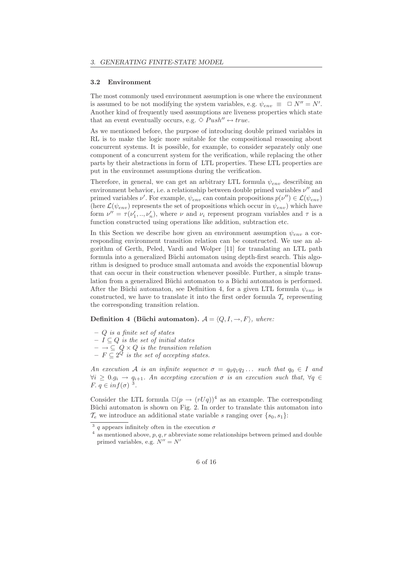#### 3.2 Environment

The most commonly used environment assumption is one where the environment is assumed to be not modifying the system variables, e.g.  $\psi_{env} \equiv \Box N'' = N'$ . Another kind of frequently used assumptions are liveness properties which state that an event eventually occurs, e.g.  $\Diamond \text{Push''} \leftrightarrow \text{true}.$ 

As we mentioned before, the purpose of introducing double primed variables in RL is to make the logic more suitable for the compositional reasoning about concurrent systems. It is possible, for example, to consider separately only one component of a concurrent system for the verification, while replacing the other parts by their abstractions in form of LTL properties. These LTL properties are put in the environmet assumptions during the verification.

Therefore, in general, we can get an arbitrary LTL formula  $\psi_{env}$  describing an environment behavior, i.e. a relationship between double primed variables  $\nu''$  and primed variables  $\nu'$ . For example,  $\psi_{env}$  can contain propositions  $p(\nu'') \in \mathcal{L}(\psi_{env})$ (here  $\mathcal{L}(\psi_{env})$  represents the set of propositions which occur in  $\psi_{env}$ ) which have form  $\nu'' = \tau(\nu'_1, ..., \nu'_n)$ , where  $\nu$  and  $\nu_i$  represent program variables and  $\tau$  is a function constructed using operations like addition, subtraction etc.

In this Section we describe how given an environment assumption  $\psi_{env}$  a corresponding environment transition relation can be constructed. We use an algorithm of Gerth, Peled, Vardi and Wolper [11] for translating an LTL path formula into a generalized Büchi automaton using depth-first search. This algorithm is designed to produce small automata and avoids the exponential blowup that can occur in their construction whenever possible. Further, a simple translation from a generalized Büchi automaton to a Büchi automaton is performed. After the Büchi automaton, see Definition 4, for a given LTL formula  $\psi_{env}$  is constructed, we have to translate it into the first order formula  $\mathcal{T}_e$  representing the corresponding transition relation.

### Definition 4 (Büchi automaton).  $A = \langle Q, I, \rightarrow, F \rangle$ , where:

- $-$  Q is a finite set of states
- $− I ⊆ Q$  is the set of initial states
- $\rightarrow \subseteq Q \times Q$  is the transition relation
- $F \subseteq 2^Q$  is the set of accepting states.

An execution A is an infinite sequence  $\sigma = q_0q_1q_2...$  such that  $q_0 \in I$  and  $\forall i \geq 0. g_i \rightarrow q_{i+1}$ . An accepting execution  $\sigma$  is an execution such that,  $\forall q \in$ F.  $q \in inf(\sigma)^3$ .

Consider the LTL formula  $\square(p \rightarrow (rUq))^4$  as an example. The corresponding Büchi automaton is shown on Fig. 2. In order to translate this automaton into  $\mathcal{T}_e$  we introduce an additional state variable s ranging over  $\{s_0, s_1\}$ :

<sup>&</sup>lt;sup>3</sup> q appears infinitely often in the execution  $\sigma$ 

 $\frac{4}{4}$  as mentioned above, p, q, r abbreviate some relationships between primed and double primed variables, e.g.  $N'' = N'$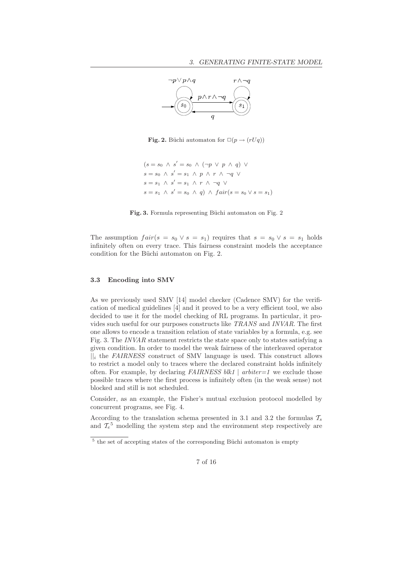

**Fig. 2.** Büchi automaton for  $\Box(p \rightarrow (rUq))$ 

$$
(s = s_0 \land s' = s_0 \land (\neg p \lor p \land q) \lor
$$
  
\n
$$
s = s_0 \land s' = s_1 \land p \land r \land \neg q \lor
$$
  
\n
$$
s = s_1 \land s' = s_1 \land r \land \neg q \lor
$$
  
\n
$$
s = s_1 \land s' = s_0 \land q) \land fair(s = s_0 \lor s = s_1)
$$

Fig. 3. Formula representing Büchi automaton on Fig. 2

The assumption  $fair(s = s_0 \vee s = s_1)$  requires that  $s = s_0 \vee s = s_1$  holds infinitely often on every trace. This fairness constraint models the acceptance condition for the Büchi automaton on Fig. 2.

#### 3.3 Encoding into SMV

As we previously used SMV [14] model checker (Cadence SMV) for the verification of medical guidelines [4] and it proved to be a very efficient tool, we also decided to use it for the model checking of RL programs. In particular, it provides such useful for our purposes constructs like TRANS and INVAR. The first one allows to encode a transition relation of state variables by a formula, e.g. see Fig. 3. The INVAR statement restricts the state space only to states satisfying a given condition. In order to model the weak fairness of the interleaved operator  $\|$ <sub>i</sub> the FAIRNESS construct of SMV language is used. This construct allows to restrict a model only to traces where the declared constraint holds infinitely often. For example, by declaring  $FAIRNESS \, blk1 \mid arbiter=1$  we exclude those possible traces where the first process is infinitely often (in the weak sense) not blocked and still is not scheduled.

Consider, as an example, the Fisher's mutual exclusion protocol modelled by concurrent programs, see Fig. 4.

According to the translation schema presented in 3.1 and 3.2 the formulas  $\mathcal{T}_s$ and  $\mathcal{T}_e^5$  modelling the system step and the environment step respectively are

 $5$  the set of accepting states of the corresponding Büchi automaton is empty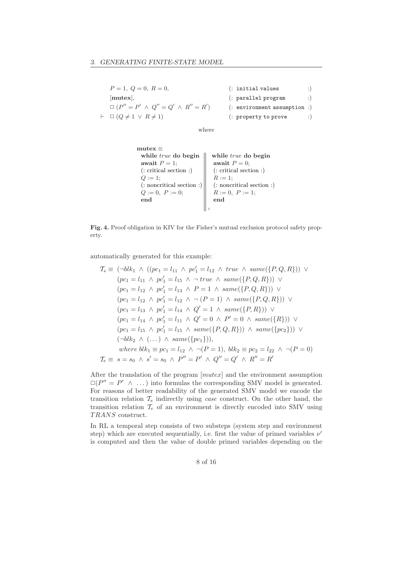| $P=1, Q=0, R=0,$                                | $\left($ : initial values        |            |
|-------------------------------------------------|----------------------------------|------------|
| mutex.                                          | (: parallel program              | $\cdot$ )  |
| $\Box (P'' = P' \land Q'' = Q' \land R'' = R')$ | $(:$ environment assumption $:)$ |            |
| $\vdash \Box (Q \neq 1 \lor R \neq 1)$          | (: property to prove             | $\cdot$ :) |

where

| mutex $\equiv$         | while <i>true</i> do begin | while <i>true</i> do begin |
|------------------------|----------------------------|----------------------------|
| await $P = 1$ ;        | await $P = 0$ ;            |                            |
| (: critical section :) | (: critical section :)     |                            |
| $Q := 1$ ;             | (: noncritical section :)  |                            |
| $Q := 0, P := 0$ ;     | $R := 0, P := 1$ ;         |                            |
| end                    | end                        | end                        |

Fig. 4. Proof obligation in KIV for the Fisher's mutual exclusion protocol safety property.

automatically generated for this example:

$$
\mathcal{T}_s \equiv (\neg blk_1 \land ((pc_1 = l_{11} \land pc'_1 = l_{12} \land true \land same(\lbrace P, Q, R \rbrace))) \lor
$$
  
\n
$$
(pc_1 = l_{11} \land pc'_1 = l_{15} \land \neg true \land same(\lbrace P, Q, R \rbrace)) \lor
$$
  
\n
$$
(pc_1 = l_{12} \land pc'_1 = l_{13} \land P = 1 \land same(\lbrace P, Q, R \rbrace)) \lor
$$
  
\n
$$
(pc_1 = l_{12} \land pc'_1 = l_{12} \land \neg (P = 1) \land same(\lbrace P, Q, R \rbrace)) \lor
$$
  
\n
$$
(pc_1 = l_{13} \land pc'_1 = l_{14} \land Q' = 1 \land same(\lbrace P, R \rbrace)) \lor
$$
  
\n
$$
(pc_1 = l_{14} \land pc'_1 = l_{11} \land Q' = 0 \land P' = 0 \land same(\lbrace R \rbrace)) \lor
$$
  
\n
$$
(pc_1 = l_{15} \land pc'_1 = l_{15} \land same(\lbrace P, Q, R \rbrace)) \land same(\lbrace pc_2 \rbrace)) \lor
$$
  
\n
$$
(\neg blk_2 \land (\dots) \land same(\lbrace pc_1 \rbrace)),
$$
  
\nwhere  $blk_1 \equiv pc_1 = l_{12} \land \neg (P = 1), blk_2 \equiv pc_2 = l_{22} \land \neg (P = 0)$   
\n
$$
\mathcal{T}_e \equiv s = s_0 \land s' = s_0 \land P'' = P' \land Q'' = Q' \land R'' = R'
$$

After the translation of the program [mutex] and the environment assumption  $\square(P'' = P' \land ...)$  into formulas the corresponding SMV model is generated. For reasons of better readability of the generated SMV model we encode the transition relation  $\mathcal{T}_s$  indirectly using *case* construct. On the other hand, the transition relation  $T_e$  of an environment is directly encoded into SMV using TRANS construct.

In RL a temporal step consists of two substeps (system step and environment step) which are executed sequentially, i.e. first the value of primed variables  $\nu'$ is computed and then the value of double primed variables depending on the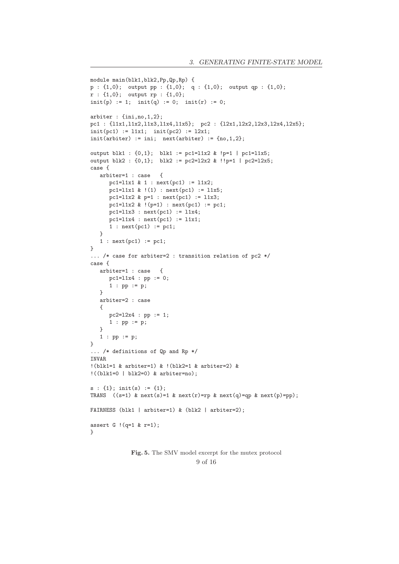```
module main(blk1,blk2,Pp,Qp,Rp) {
p : {1,0}; output pp : {1,0}; q : {1,0}; output qp : {1,0};
r : {1,0}; output rp : {1,0};
init(p) := 1; init(q) := 0; init(r) := 0;arbiter : {ini,no,1,2};
pc1 : {l1x1,l1x2,l1x3,l1x4,l1x5}; pc2 : {l2x1,l2x2,l2x3,l2x4,l2x5};
init(pc1) := 11x1; init(pc2) := 12x1;init(arbiter) := ini; next(arbiter) := \{no, 1, 2\};output blk1 : \{0,1\}; blk1 := pc1=l1x2 & !p=1 | pc1=l1x5;
output blk2 : {0,1}; blk2 := pc2=l2x2 & !!p=1 | pc2=l2x5;
case {
   arbiter=1 : case {
      pc1 = 11x1 \& 1 : next(pc1) := 11x2;pc1=11x1 \& (1) : next(pc1) := 11x5;pc1=11x2 & p=1 : next(pc1) := 11x3;
     pc1=11x2 & !(p=1) : next(pc1) := pc1;
     pc1 = 11x3 : next(pc1) := 11x4;
      pc1 = 11x4 : next(pc1) := 11x1;
      1 : next(pc1) := pc1;
   \lambda1 : next(pc1) := pc1;
}
... /* case for arbiter=2 : transition relation of pc2 */
case {
   arbiter=1 : case {
     pc1 = 11x4 : pp := 0;1 : pp := p;
   }
   arbiter=2 : case
   {
      pc2=l2x4 : pp := 1;
      1 : pp := p;
   }
   1 : pp := p;
}
... /* definitions of Qp and Rp */
INVAR
!(blk1=1 & arbiter=1) & !(blk2=1 & arbiter=2) &
!((b1k1=0 \mid b1k2=0) \& arbiter=no);
s : \{1\}; \text{init}(s) := \{1\};TRANS ((s=1) & next(s)=1 & next(r)=rp & next(q)=qp & next(p)=pp);
FAIRNESS (blk1 | arbiter=1) & (blk2 | arbiter=2);
assert G !(q=1 & r=1);
}
```
Fig. 5. The SMV model excerpt for the mutex protocol 9 of 16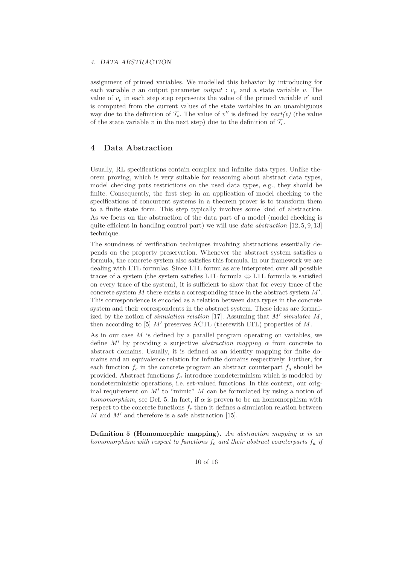assignment of primed variables. We modelled this behavior by introducing for each variable v an output parameter *output* :  $v_p$  and a state variable v. The value of  $v_p$  in each step step represents the value of the primed variable  $v'$  and is computed from the current values of the state variables in an unambiguous way due to the definition of  $\mathcal{T}_s$ . The value of  $v''$  is defined by  $next(v)$  (the value of the state variable v in the next step) due to the definition of  $\mathcal{T}_{e}$ .

#### 4 Data Abstraction

Usually, RL specifications contain complex and infinite data types. Unlike theorem proving, which is very suitable for reasoning about abstract data types, model checking puts restrictions on the used data types, e.g., they should be finite. Consequently, the first step in an application of model checking to the specifications of concurrent systems in a theorem prover is to transform them to a finite state form. This step typically involves some kind of abstraction. As we focus on the abstraction of the data part of a model (model checking is quite efficient in handling control part) we will use data abstraction  $[12, 5, 9, 13]$ technique.

The soundness of verification techniques involving abstractions essentially depends on the property preservation. Whenever the abstract system satisfies a formula, the concrete system also satisfies this formula. In our framework we are dealing with LTL formulas. Since LTL formulas are interpreted over all possible traces of a system (the system satisfies LTL formula  $\Leftrightarrow$  LTL formula is satisfied on every trace of the system), it is sufficient to show that for every trace of the concrete system  $M$  there exists a corresponding trace in the abstract system  $M'$ . This correspondence is encoded as a relation between data types in the concrete system and their correspondents in the abstract system. These ideas are formalized by the notion of simulation relation [17]. Assuming that  $M'$  simulates  $M$ , then according to [5]  $M'$  preserves ACTL (therewith LTL) properties of M.

As in our case  $M$  is defined by a parallel program operating on variables, we define M' by providing a surjective *abstraction mapping*  $\alpha$  from concrete to abstract domains. Usually, it is defined as an identity mapping for finite domains and an equivalence relation for infinite domains respectively. Further, for each function  $f_c$  in the concrete program an abstract counterpart  $f_a$  should be provided. Abstract functions  $f_a$  introduce nondeterminism which is modeled by nondeterministic operations, i.e. set-valued functions. In this context, our original requirement on  $M'$  to "mimic"  $M$  can be formulated by using a notion of homomorphism, see Def. 5. In fact, if  $\alpha$  is proven to be an homomorphism with respect to the concrete functions  $f_c$  then it defines a simulation relation between  $M$  and  $M'$  and therefore is a safe abstraction [15].

**Definition 5 (Homomorphic mapping).** An abstraction mapping  $\alpha$  is an homomorphism with respect to functions  $f_c$  and their abstract counterparts  $f_a$  if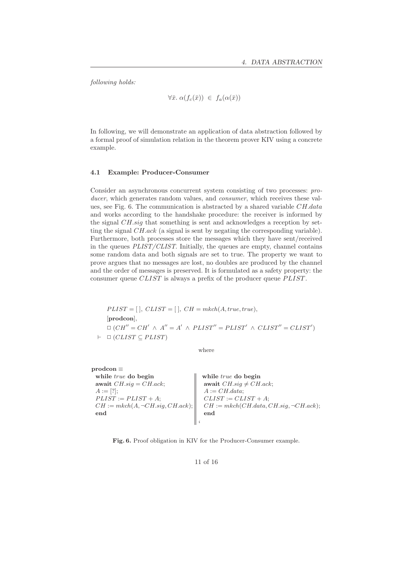following holds:

 $\forall \bar{x}.\ \alpha(f_c(\bar{x})) \in f_a(\alpha(\bar{x}))$ 

In following, we will demonstrate an application of data abstraction followed by a formal proof of simulation relation in the theorem prover KIV using a concrete example.

#### 4.1 Example: Producer-Consumer

Consider an asynchronous concurrent system consisting of two processes: producer, which generates random values, and *consumer*, which receives these values, see Fig. 6. The communication is abstracted by a shared variable  $CH.data$ and works according to the handshake procedure: the receiver is informed by the signal CH.sig that something is sent and acknowledges a reception by setting the signal CH.ack (a signal is sent by negating the corresponding variable). Furthermore, both processes store the messages which they have sent/received in the queues PLIST/CLIST. Initially, the queues are empty, channel contains some random data and both signals are set to true. The property we want to prove argues that no messages are lost, no doubles are produced by the channel and the order of messages is preserved. It is formulated as a safety property: the consumer queue CLIST is always a prefix of the producer queue PLIST.

 $PLIST = [\ ]$ ,  $CLIST = [\ ]$ ,  $CH = mkch(A, true, true),$ [prodcon],  $\Box$   $(CH'' = CH' \land A'' = A' \land PLIST'' = PLIST' \land CLIST'' = CLIST')$  $\vdash \Box (CLIST \subseteq PLIST)$ 

where

| $\mathbf{prodcon} \equiv$              |                                                            |
|----------------------------------------|------------------------------------------------------------|
| while <i>true</i> do begin             |                                                            |
| await $CH.\text{sig} = CH.\text{ack};$ | while <i>true</i> do begin<br>await $CH.size \neq CH.ack;$ |
| $A := [?];$                            | $A := CH.data;$                                            |
| $PLIST := PLIST + A;$                  | $CLIST := CLIST + A;$                                      |
| $CH := mkch(A, \neg CH.size, CH.ack);$ | $CH := mkch(CH.data, CH.size, \neg CH.ack);$               |
| end                                    | end                                                        |
|                                        |                                                            |

Fig. 6. Proof obligation in KIV for the Producer-Consumer example.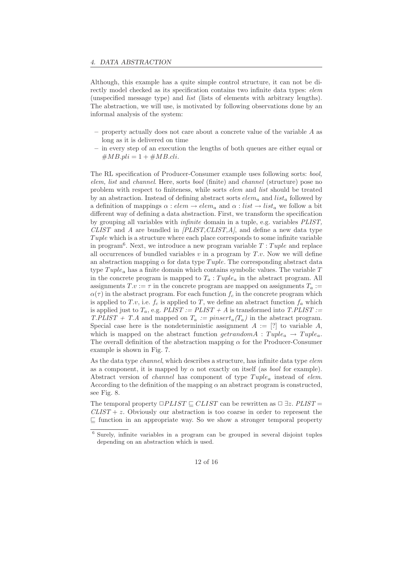Although, this example has a quite simple control structure, it can not be directly model checked as its specification contains two infinite data types: *elem* (unspecified message type) and list (lists of elements with arbitrary lengths). The abstraction, we will use, is motivated by following observations done by an informal analysis of the system:

- $-$  property actually does not care about a concrete value of the variable  $A$  as long as it is delivered on time
- in every step of an execution the lengths of both queues are either equal or  $\#MB.pli = 1 + \#MB_cli.$

The RL specification of Producer-Consumer example uses following sorts: bool, elem, list and channel. Here, sorts bool (finite) and channel (structure) pose no problem with respect to finiteness, while sorts elem and list should be treated by an abstraction. Instead of defining abstract sorts  $elem_a$  and  $list_a$  followed by a definition of mappings  $\alpha : elem \rightarrow elem_a$  and  $\alpha : list \rightarrow list_a$  we follow a bit different way of defining a data abstraction. First, we transform the specification by grouping all variables with infinite domain in a tuple, e.g. variables PLIST,  $CLIST$  and A are bundled in  $[PLIST, CLIST, A]$ , and define a new data type Tuple which is a structure where each place corresponds to some infinite variable in program<sup>6</sup>. Next, we introduce a new program variable  $T: Tuple$  and replace all occurrences of bundled variables  $v$  in a program by  $T.v$ . Now we will define an abstraction mapping  $\alpha$  for data type Tuple. The corresponding abstract data type  $Tuple_a$  has a finite domain which contains symbolic values. The variable T in the concrete program is mapped to  $T_a:Tuple_a$  in the abstract program. All assignments  $T.v := \tau$  in the concrete program are mapped on assignments  $T_a :=$  $\alpha(\tau)$  in the abstract program. For each function  $f_c$  in the concrete program which is applied to T.v, i.e.  $f_c$  is applied to T, we define an abstract function  $f_a$  which is applied just to  $T_a$ , e.g.  $PLIST := PLIST + A$  is transformed into  $T. PLIST :=$ T.PLIST + T.A and mapped on  $T_a := pinsert_a(T_a)$  in the abstract program. Special case here is the nondeterministic assignment  $A := [?]$  to variable  $A$ , which is mapped on the abstract function  $qet randomA$ :  $Tuple_a \rightarrow Tuple_a$ . The overall definition of the abstraction mapping  $\alpha$  for the Producer-Consumer example is shown in Fig. 7.

As the data type *channel*, which describes a structure, has infinite data type *elem* as a component, it is mapped by  $\alpha$  not exactly on itself (as *bool* for example). Abstract version of *channel* has component of type  $Tuple_a$  instead of *elem*. According to the definition of the mapping  $\alpha$  an abstract program is constructed, see Fig. 8.

The temporal property  $\Box PLIST \subseteq CLIST$  can be rewritten as  $\Box \exists z$ .  $PLIST =$  $CLIST + z$ . Obviously our abstraction is too coarse in order to represent the ⊑ function in an appropriate way. So we show a stronger temporal property

<sup>6</sup> Surely, infinite variables in a program can be grouped in several disjoint tuples depending on an abstraction which is used.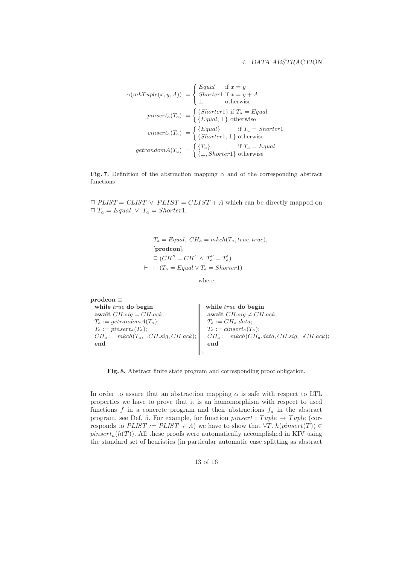$$
\alpha(mkTuple(x, y, A)) = \begin{cases} Equal & \text{if } x = y \\ Shorter1 & \text{if } x = y + A \\ \perp & \text{otherwise} \end{cases}
$$

$$
pinsert_{a}(T_{a}) = \begin{cases} {Shorter1} & \text{if } T_{a} = Equal \\ {Equal, \perp} & \text{otherwise} \end{cases}
$$

$$
cinsert_{a}(T_{a}) = \begin{cases} {Equal} & \text{if } T_{a} = Shorter1 \\ {Shorter1, \perp} & \text{otherwise} \end{cases}
$$

$$
getrandomA(T_{a}) = \begin{cases} {T_{a}} & \text{if } T_{a} = Equal \\ { \perp, Shorter1} & \text{otherwise} \end{cases}
$$

Fig. 7. Definition of the abstraction mapping  $\alpha$  and of the corresponding abstract functions

 $\Box$  PLIST = CLIST  $\lor$  PLIST = CLIST + A which can be directly mapped on  $\Box T_a = Equal \lor T_a = Shorter1.$ 

> $T_a = Equal, CH_a = mkch(T_a, true, true),$ [prodcon],  $\Box (CH'' = CH' \land T''_a = T'_a)$  $\vdash \Box (T_a = Equal \lor T_a = Shorter1)$

> > where

prodcon ≡ while *true* do begin await  $CH.size = CH.ack;$  $T_a := getrandomA(T_a);$  $T_a := pinsert_a(T_a);$  $CH_a := mkch(T_a, \neg CH.size, CH.ack);$ end while *true* do begin await  $CH.\dot{sig} \neq CH.\dot{ack};$  $T_a := CH_a.data;$  $T_a := \text{cinsert}_a(T_a);$  $CH_a := mkch(CH_a.data, CH.size, \neg CH.ack);$ end i

Fig. 8. Abstract finite state program and corresponding proof obligation.

In order to assure that an abstraction mapping  $\alpha$  is safe with respect to LTL properties we have to prove that it is an homomorphism with respect to used functions f in a concrete program and their abstractions  $f_a$  in the abstract program, see Def. 5. For example, for function *pinsert* : Tuple  $\rightarrow$  Tuple (corresponds to  $PLIST := PLIST + A$ ) we have to show that  $\forall T. h(pinsert(T)) \in$  $pinset<sub>a</sub>(h(T))$ . All these proofs were automatically accomplished in KIV using the standard set of heuristics (in particular automatic case splitting as abstract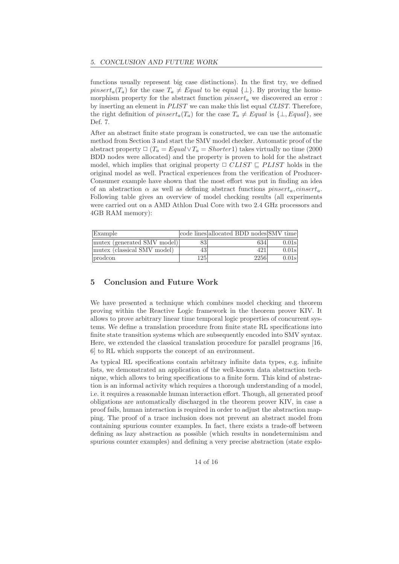functions usually represent big case distinctions). In the first try, we defined *pinsert<sub>a</sub>*(T<sub>a</sub>) for the case  $T_a \neq Equal$  to be equal  $\{\perp\}$ . By proving the homomorphism property for the abstract function  $pinset_a$  we discovered an error : by inserting an element in PLIST we can make this list equal CLIST. Therefore, the right definition of pinsert<sub>a</sub>(T<sub>a</sub>) for the case  $T_a \neq Equal$  is  $\{\perp, Equal\}$ , see Def. 7.

After an abstract finite state program is constructed, we can use the automatic method from Section 3 and start the SMV model checker. Automatic proof of the abstract property  $\Box$  (T<sub>a</sub> = Equal $\lor$ T<sub>a</sub> = Shorter1) takes virtually no time (2000) BDD nodes were allocated) and the property is proven to hold for the abstract model, which implies that original property  $\Box$  CLIST  $\Box$  PLIST holds in the original model as well. Practical experiences from the verification of Producer-Consumer example have shown that the most effort was put in finding an idea of an abstraction  $\alpha$  as well as defining abstract functions  $\text{pin}set_a$ , cinsert<sub>a</sub>. Following table gives an overview of model checking results (all experiments were carried out on a AMD Athlon Dual Core with two 2.4 GHz processors and 4GB RAM memory):

| Example                     |     | code lines allocated BDD nodes SMV time |          |
|-----------------------------|-----|-----------------------------------------|----------|
| mutex (generated SMV model) | 83  | 634                                     | $0.01$ s |
| mutex (classical SMV model) | 43  | 421                                     | $0.01$ s |
| prodcon                     | 125 | 2256                                    | $0.01$ s |

# 5 Conclusion and Future Work

We have presented a technique which combines model checking and theorem proving within the Reactive Logic framework in the theorem prover KIV. It allows to prove arbitrary linear time temporal logic properties of concurrent systems. We define a translation procedure from finite state RL specifications into finite state transition systems which are subsequently encoded into SMV syntax. Here, we extended the classical translation procedure for parallel programs [16, 6] to RL which supports the concept of an environment.

As typical RL specifications contain arbitrary infinite data types, e.g. infinite lists, we demonstrated an application of the well-known data abstraction technique, which allows to bring specifications to a finite form. This kind of abstraction is an informal activity which requires a thorough understanding of a model, i.e. it requires a reasonable human interaction effort. Though, all generated proof obligations are automatically discharged in the theorem prover KIV, in case a proof fails, human interaction is required in order to adjust the abstraction mapping. The proof of a trace inclusion does not prevent an abstract model from containing spurious counter examples. In fact, there exists a trade-off between defining as lazy abstraction as possible (which results in nondeterminism and spurious counter examples) and defining a very precise abstraction (state explo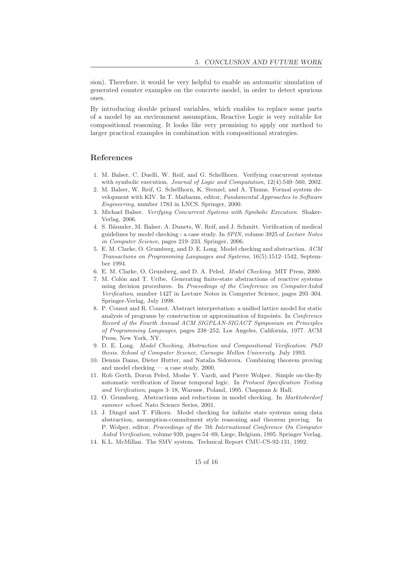sion). Therefore, it would be very helpful to enable an automatic simulation of generated counter examples on the concrete model, in order to detect spurious ones.

By introducing double primed variables, which enables to replace some parts of a model by an environment assumption, Reactive Logic is very suitable for compositional reasoning. It looks like very promising to apply our method to larger practical examples in combination with compositional strategies.

#### References

- 1. M. Balser, C. Duelli, W. Reif, and G. Schellhorn. Verifying concurrent systems with symbolic execution. Journal of Logic and Computation, 12(4):549-560, 2002.
- 2. M. Balser, W. Reif, G. Schellhorn, K. Stenzel, and A. Thums. Formal system development with KIV. In T. Maibaum, editor, Fundamental Approaches to Software Engineering, number 1783 in LNCS. Springer, 2000.
- 3. Michael Balser. Verifying Concurrent Systems with Symbolic Execution. Shaker-Verlag, 2006.
- 4. S. Bäumler, M. Balser, A. Dunets, W. Reif, and J. Schmitt. Verification of medical guidelines by model checking - a case study. In SPIN, volume 3925 of Lecture Notes in Computer Science, pages 219–233. Springer, 2006.
- 5. E. M. Clarke, O. Grumberg, and D. E. Long. Model checking and abstraction. ACM Transactions on Programming Languages and Systems, 16(5):1512–1542, September 1994.
- 6. E. M. Clarke, O. Grumberg, and D. A. Peled. Model Checking. MIT Press, 2000.
- 7. M. Colón and T. Uribe. Generating finite-state abstractions of reactive systems using decision procedures. In Proceedings of the Conference on ComputerAided Verification, number 1427 in Lecture Notes in Computer Science, pages 293–304. Springer-Verlag, July 1998.
- 8. P. Cousot and R. Cousot. Abstract interpretation: a unified lattice model for static analysis of programs by construction or approximation of fixpoints. In Conference Record of the Fourth Annual ACM SIGPLAN-SIGACT Symposium on Principles of Programming Languages, pages 238–252, Los Angeles, California, 1977. ACM Press, New York, NY.
- 9. D. E. Long. Model Checking, Abstraction and Compositional Verification. PhD thesis. School of Computer Science, Carnegie Mellon University. July 1993.
- 10. Dennis Dams, Dieter Hutter, and Natalia Sidorova. Combining theorem proving and model checking — a case study, 2000.
- 11. Rob Gerth, Doron Peled, Moshe Y. Vardi, and Pierre Wolper. Simple on-the-fly automatic verification of linear temporal logic. In Protocol Specification Testing and Verification, pages 3–18, Warsaw, Poland, 1995. Chapman & Hall.
- 12. O. Grumberg. Abstractions and reductions in model checking. In Marktoberdorf summer school. Nato Science Series, 2001.
- 13. J. Dingel and T. Filkorn. Model checking for infinite state systems using data abstraction, assumption-commitment style reasoning and theorem proving. In P. Wolper, editor, Proceedings of the 7th International Conference On Computer Aided Verification, volume 939, pages 54–69, Liege, Belgium, 1995. Springer Verlag.
- 14. K.L. McMillan. The SMV system. Technical Report CMU-CS-92-131, 1992.